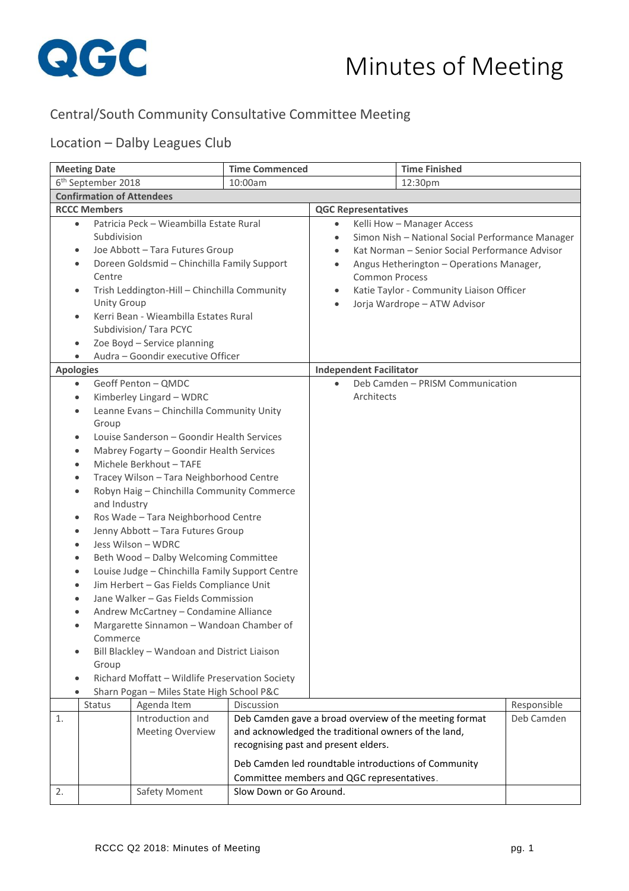

## Central/South Community Consultative Committee Meeting

## Location – Dalby Leagues Club

| <b>Meeting Date</b>                                                                                                                                                                                                                                                                                                                                                                                                                                                                                                                                                                                                                                                                                                                                                                                                                                                                                                                                                                                                                |                                             | <b>Time Commenced</b>                                                                                                                                                 |                       |                                                                                                                                                                                                                                                          | <b>Time Finished</b>                                                                                           |             |
|------------------------------------------------------------------------------------------------------------------------------------------------------------------------------------------------------------------------------------------------------------------------------------------------------------------------------------------------------------------------------------------------------------------------------------------------------------------------------------------------------------------------------------------------------------------------------------------------------------------------------------------------------------------------------------------------------------------------------------------------------------------------------------------------------------------------------------------------------------------------------------------------------------------------------------------------------------------------------------------------------------------------------------|---------------------------------------------|-----------------------------------------------------------------------------------------------------------------------------------------------------------------------|-----------------------|----------------------------------------------------------------------------------------------------------------------------------------------------------------------------------------------------------------------------------------------------------|----------------------------------------------------------------------------------------------------------------|-------------|
| 6 <sup>th</sup> September 2018                                                                                                                                                                                                                                                                                                                                                                                                                                                                                                                                                                                                                                                                                                                                                                                                                                                                                                                                                                                                     |                                             | 10:00am                                                                                                                                                               |                       |                                                                                                                                                                                                                                                          | 12:30pm                                                                                                        |             |
| <b>Confirmation of Attendees</b>                                                                                                                                                                                                                                                                                                                                                                                                                                                                                                                                                                                                                                                                                                                                                                                                                                                                                                                                                                                                   |                                             |                                                                                                                                                                       |                       |                                                                                                                                                                                                                                                          |                                                                                                                |             |
| <b>RCCC Members</b>                                                                                                                                                                                                                                                                                                                                                                                                                                                                                                                                                                                                                                                                                                                                                                                                                                                                                                                                                                                                                |                                             |                                                                                                                                                                       |                       | <b>QGC Representatives</b>                                                                                                                                                                                                                               |                                                                                                                |             |
| Patricia Peck - Wieambilla Estate Rural<br>$\bullet$<br>Subdivision<br>Joe Abbott - Tara Futures Group<br>$\bullet$<br>Doreen Goldsmid - Chinchilla Family Support<br>٠<br>Centre<br>Trish Leddington-Hill - Chinchilla Community<br>٠<br><b>Unity Group</b><br>Kerri Bean - Wieambilla Estates Rural<br>٠<br>Subdivision/ Tara PCYC<br>Zoe Boyd - Service planning<br>٠                                                                                                                                                                                                                                                                                                                                                                                                                                                                                                                                                                                                                                                           |                                             | $\bullet$<br>$\bullet$<br>$\bullet$<br>$\bullet$<br>$\bullet$<br>$\bullet$                                                                                            | <b>Common Process</b> | Kelli How - Manager Access<br>Simon Nish - National Social Performance Manager<br>Kat Norman - Senior Social Performance Advisor<br>Angus Hetherington - Operations Manager,<br>Katie Taylor - Community Liaison Officer<br>Jorja Wardrope - ATW Advisor |                                                                                                                |             |
| <b>Apologies</b>                                                                                                                                                                                                                                                                                                                                                                                                                                                                                                                                                                                                                                                                                                                                                                                                                                                                                                                                                                                                                   |                                             |                                                                                                                                                                       |                       | <b>Independent Facilitator</b>                                                                                                                                                                                                                           |                                                                                                                |             |
| Audra - Goondir executive Officer<br>Geoff Penton - QMDC<br>$\bullet$<br>Kimberley Lingard - WDRC<br>٠<br>Leanne Evans - Chinchilla Community Unity<br>$\bullet$<br>Group<br>Louise Sanderson - Goondir Health Services<br>٠<br>Mabrey Fogarty - Goondir Health Services<br>$\bullet$<br>Michele Berkhout - TAFE<br>$\bullet$<br>Tracey Wilson - Tara Neighborhood Centre<br>$\bullet$<br>Robyn Haig - Chinchilla Community Commerce<br>٠<br>and Industry<br>Ros Wade - Tara Neighborhood Centre<br>$\bullet$<br>Jenny Abbott - Tara Futures Group<br>$\bullet$<br>Jess Wilson - WDRC<br>$\bullet$<br>Beth Wood - Dalby Welcoming Committee<br>$\bullet$<br>Louise Judge - Chinchilla Family Support Centre<br>$\bullet$<br>Jim Herbert - Gas Fields Compliance Unit<br>٠<br>Jane Walker - Gas Fields Commission<br>Andrew McCartney - Condamine Alliance<br>Margarette Sinnamon - Wandoan Chamber of<br>٠<br>Commerce<br>Bill Blackley - Wandoan and District Liaison<br>Group<br>Richard Moffatt - Wildlife Preservation Society |                                             |                                                                                                                                                                       | Architects            | Deb Camden - PRISM Communication                                                                                                                                                                                                                         |                                                                                                                |             |
| Status                                                                                                                                                                                                                                                                                                                                                                                                                                                                                                                                                                                                                                                                                                                                                                                                                                                                                                                                                                                                                             | Agenda Item                                 | Discussion                                                                                                                                                            |                       |                                                                                                                                                                                                                                                          |                                                                                                                | Responsible |
| 1.<br>2.                                                                                                                                                                                                                                                                                                                                                                                                                                                                                                                                                                                                                                                                                                                                                                                                                                                                                                                                                                                                                           | Introduction and<br><b>Meeting Overview</b> | and acknowledged the traditional owners of the land,<br>recognising past and present elders.<br>Committee members and QGC representatives.<br>Slow Down or Go Around. |                       |                                                                                                                                                                                                                                                          | Deb Camden gave a broad overview of the meeting format<br>Deb Camden led roundtable introductions of Community | Deb Camden  |
|                                                                                                                                                                                                                                                                                                                                                                                                                                                                                                                                                                                                                                                                                                                                                                                                                                                                                                                                                                                                                                    | Safety Moment                               |                                                                                                                                                                       |                       |                                                                                                                                                                                                                                                          |                                                                                                                |             |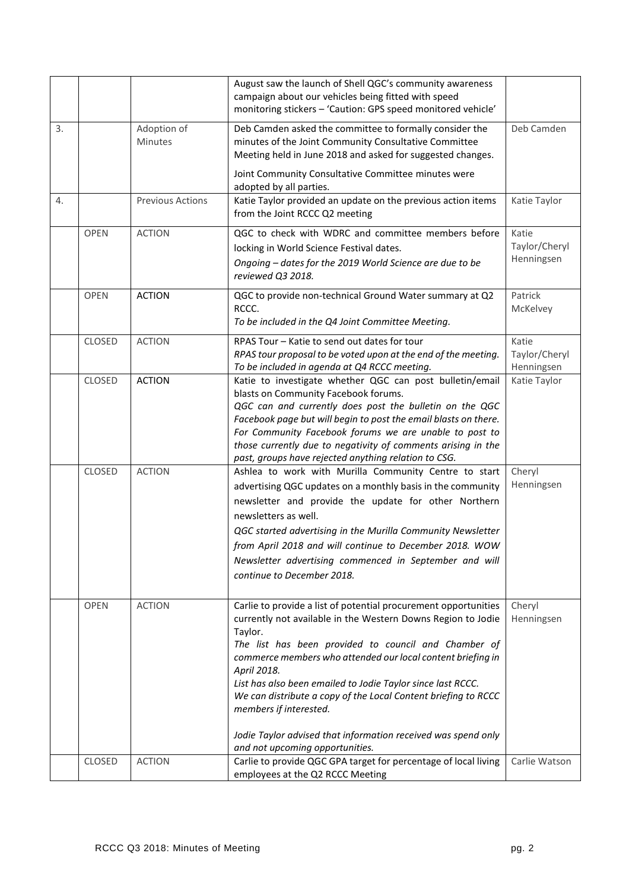|    |             |                               | August saw the launch of Shell QGC's community awareness<br>campaign about our vehicles being fitted with speed<br>monitoring stickers - 'Caution: GPS speed monitored vehicle'                                                                                                                                                                                                                                                                                                                                                                 |                                      |
|----|-------------|-------------------------------|-------------------------------------------------------------------------------------------------------------------------------------------------------------------------------------------------------------------------------------------------------------------------------------------------------------------------------------------------------------------------------------------------------------------------------------------------------------------------------------------------------------------------------------------------|--------------------------------------|
| 3. |             | Adoption of<br><b>Minutes</b> | Deb Camden asked the committee to formally consider the<br>minutes of the Joint Community Consultative Committee<br>Meeting held in June 2018 and asked for suggested changes.                                                                                                                                                                                                                                                                                                                                                                  | Deb Camden                           |
|    |             |                               | Joint Community Consultative Committee minutes were<br>adopted by all parties.                                                                                                                                                                                                                                                                                                                                                                                                                                                                  |                                      |
| 4. |             | <b>Previous Actions</b>       | Katie Taylor provided an update on the previous action items<br>from the Joint RCCC Q2 meeting                                                                                                                                                                                                                                                                                                                                                                                                                                                  | Katie Taylor                         |
|    | <b>OPEN</b> | <b>ACTION</b>                 | QGC to check with WDRC and committee members before<br>locking in World Science Festival dates.<br>Ongoing - dates for the 2019 World Science are due to be<br>reviewed Q3 2018.                                                                                                                                                                                                                                                                                                                                                                | Katie<br>Taylor/Cheryl<br>Henningsen |
|    | <b>OPEN</b> | <b>ACTION</b>                 | QGC to provide non-technical Ground Water summary at Q2<br>RCCC.<br>To be included in the Q4 Joint Committee Meeting.                                                                                                                                                                                                                                                                                                                                                                                                                           | Patrick<br>McKelvey                  |
|    | CLOSED      | <b>ACTION</b>                 | RPAS Tour - Katie to send out dates for tour<br>RPAS tour proposal to be voted upon at the end of the meeting.<br>To be included in agenda at Q4 RCCC meeting.                                                                                                                                                                                                                                                                                                                                                                                  | Katie<br>Taylor/Cheryl<br>Henningsen |
|    | CLOSED      | <b>ACTION</b>                 | Katie to investigate whether QGC can post bulletin/email<br>blasts on Community Facebook forums.<br>QGC can and currently does post the bulletin on the QGC<br>Facebook page but will begin to post the email blasts on there.<br>For Community Facebook forums we are unable to post to<br>those currently due to negativity of comments arising in the<br>past, groups have rejected anything relation to CSG.                                                                                                                                | Katie Taylor                         |
|    | CLOSED      | <b>ACTION</b>                 | Ashlea to work with Murilla Community Centre to start<br>advertising QGC updates on a monthly basis in the community<br>newsletter and provide the update for other Northern<br>newsletters as well.<br>QGC started advertising in the Murilla Community Newsletter<br>from April 2018 and will continue to December 2018. WOW<br>Newsletter advertising commenced in September and will<br>continue to December 2018.                                                                                                                          | Cheryl<br>Henningsen                 |
|    | <b>OPEN</b> | <b>ACTION</b>                 | Carlie to provide a list of potential procurement opportunities<br>currently not available in the Western Downs Region to Jodie<br>Taylor.<br>The list has been provided to council and Chamber of<br>commerce members who attended our local content briefing in<br>April 2018.<br>List has also been emailed to Jodie Taylor since last RCCC.<br>We can distribute a copy of the Local Content briefing to RCCC<br>members if interested.<br>Jodie Taylor advised that information received was spend only<br>and not upcoming opportunities. | Cheryl<br>Henningsen                 |
|    | CLOSED      | <b>ACTION</b>                 | Carlie to provide QGC GPA target for percentage of local living<br>employees at the Q2 RCCC Meeting                                                                                                                                                                                                                                                                                                                                                                                                                                             | Carlie Watson                        |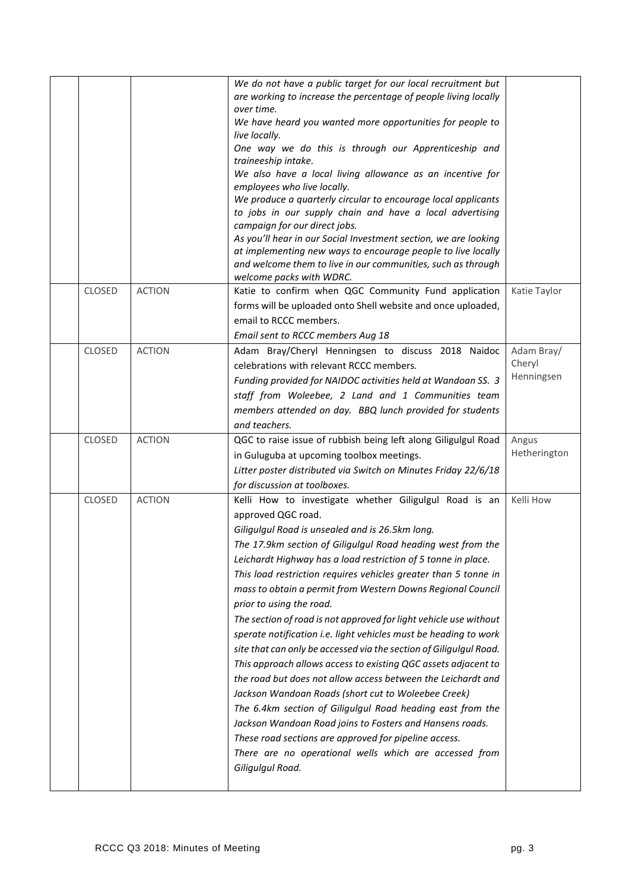|               |               | We do not have a public target for our local recruitment but                  |              |
|---------------|---------------|-------------------------------------------------------------------------------|--------------|
|               |               | are working to increase the percentage of people living locally<br>over time. |              |
|               |               | We have heard you wanted more opportunities for people to                     |              |
|               |               | live locally.                                                                 |              |
|               |               | One way we do this is through our Apprenticeship and                          |              |
|               |               | traineeship intake.                                                           |              |
|               |               | We also have a local living allowance as an incentive for                     |              |
|               |               | employees who live locally.                                                   |              |
|               |               | We produce a quarterly circular to encourage local applicants                 |              |
|               |               | to jobs in our supply chain and have a local advertising                      |              |
|               |               | campaign for our direct jobs.                                                 |              |
|               |               | As you'll hear in our Social Investment section, we are looking               |              |
|               |               | at implementing new ways to encourage people to live locally                  |              |
|               |               | and welcome them to live in our communities, such as through                  |              |
|               |               | welcome packs with WDRC.                                                      |              |
| CLOSED        | <b>ACTION</b> | Katie to confirm when QGC Community Fund application                          | Katie Taylor |
|               |               | forms will be uploaded onto Shell website and once uploaded,                  |              |
|               |               | email to RCCC members.                                                        |              |
|               |               | Email sent to RCCC members Aug 18                                             |              |
| <b>CLOSED</b> | <b>ACTION</b> | Adam Bray/Cheryl Henningsen to discuss 2018 Naidoc                            | Adam Bray/   |
|               |               | celebrations with relevant RCCC members.                                      | Cheryl       |
|               |               | Funding provided for NAIDOC activities held at Wandoan SS. 3                  | Henningsen   |
|               |               | staff from Woleebee, 2 Land and 1 Communities team                            |              |
|               |               | members attended on day. BBQ lunch provided for students                      |              |
|               |               | and teachers.                                                                 |              |
|               |               |                                                                               |              |
|               |               |                                                                               |              |
| CLOSED        | <b>ACTION</b> | QGC to raise issue of rubbish being left along Giligulgul Road                | Angus        |
|               |               | in Guluguba at upcoming toolbox meetings.                                     | Hetherington |
|               |               | Litter poster distributed via Switch on Minutes Friday 22/6/18                |              |
|               |               | for discussion at toolboxes.                                                  |              |
| CLOSED        | <b>ACTION</b> | Kelli How to investigate whether Giligulgul Road is an                        | Kelli How    |
|               |               | approved QGC road.                                                            |              |
|               |               | Giligulgul Road is unsealed and is 26.5km long.                               |              |
|               |               | The 17.9km section of Giligulgul Road heading west from the                   |              |
|               |               | Leichardt Highway has a load restriction of 5 tonne in place.                 |              |
|               |               | This load restriction requires vehicles greater than 5 tonne in               |              |
|               |               | mass to obtain a permit from Western Downs Regional Council                   |              |
|               |               |                                                                               |              |
|               |               | prior to using the road.                                                      |              |
|               |               | The section of road is not approved for light vehicle use without             |              |
|               |               | sperate notification i.e. light vehicles must be heading to work              |              |
|               |               | site that can only be accessed via the section of Giligulgul Road.            |              |
|               |               | This approach allows access to existing QGC assets adjacent to                |              |
|               |               | the road but does not allow access between the Leichardt and                  |              |
|               |               | Jackson Wandoan Roads (short cut to Woleebee Creek)                           |              |
|               |               | The 6.4km section of Giligulgul Road heading east from the                    |              |
|               |               | Jackson Wandoan Road joins to Fosters and Hansens roads.                      |              |
|               |               | These road sections are approved for pipeline access.                         |              |
|               |               | There are no operational wells which are accessed from                        |              |
|               |               | Giligulgul Road.                                                              |              |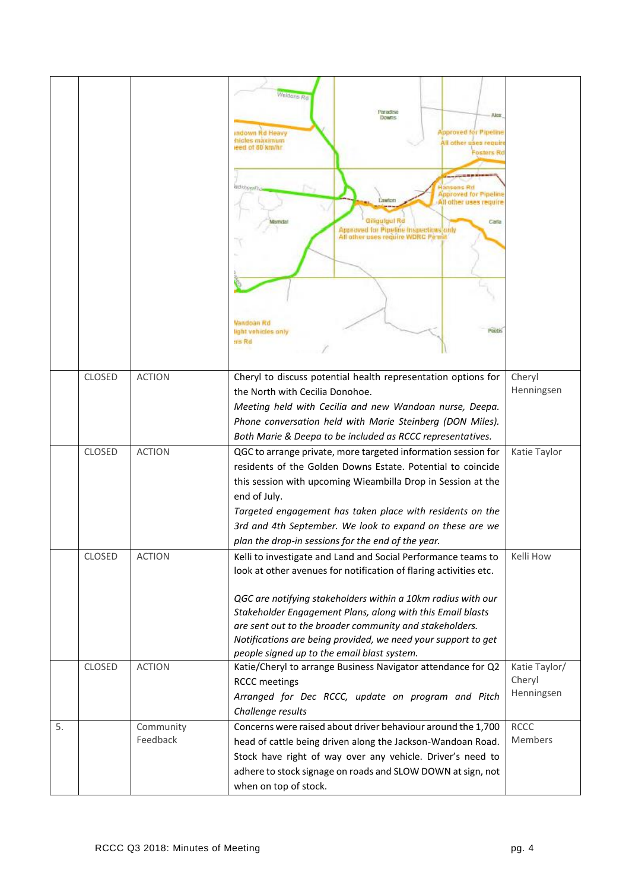|    |               |                       | Weidons Rd<br>Paradise<br>Alex.<br><b>DOWNS</b><br><b>Approved for Pipeline</b><br>indown Rd Heavy<br>hicles maximum<br>Il other uses requir<br>eed of 80 km/hr<br>Fosters R<br>adveration<br>ansons Rd<br><b><i><u>Ipproved</u></i></b> for Pipeline<br>All other uses require<br>Giligulgul Rd<br>Carla<br>Approved for Pipeline Inspections only<br>All other uses require WDRC Permit<br>Nandoan Rd<br>Peets<br>light vehicles only<br>tris Rd |                                       |
|----|---------------|-----------------------|----------------------------------------------------------------------------------------------------------------------------------------------------------------------------------------------------------------------------------------------------------------------------------------------------------------------------------------------------------------------------------------------------------------------------------------------------|---------------------------------------|
|    | <b>CLOSED</b> | <b>ACTION</b>         | Cheryl to discuss potential health representation options for<br>the North with Cecilia Donohoe.<br>Meeting held with Cecilia and new Wandoan nurse, Deepa.<br>Phone conversation held with Marie Steinberg (DON Miles).<br>Both Marie & Deepa to be included as RCCC representatives.                                                                                                                                                             | Cheryl<br>Henningsen                  |
|    | <b>CLOSED</b> | <b>ACTION</b>         | QGC to arrange private, more targeted information session for<br>residents of the Golden Downs Estate. Potential to coincide<br>this session with upcoming Wieambilla Drop in Session at the<br>end of July.<br>Targeted engagement has taken place with residents on the<br>3rd and 4th September. We look to expand on these are we<br>plan the drop-in sessions for the end of the year.                                                        | Katie Taylor                          |
|    | CLOSED        | <b>ACTION</b>         | Kelli to investigate and Land and Social Performance teams to<br>look at other avenues for notification of flaring activities etc.<br>QGC are notifying stakeholders within a 10km radius with our<br>Stakeholder Engagement Plans, along with this Email blasts<br>are sent out to the broader community and stakeholders.<br>Notifications are being provided, we need your support to get<br>people signed up to the email blast system.        | Kelli How                             |
|    | CLOSED        | <b>ACTION</b>         | Katie/Cheryl to arrange Business Navigator attendance for Q2<br><b>RCCC</b> meetings<br>Arranged for Dec RCCC, update on program and Pitch<br>Challenge results                                                                                                                                                                                                                                                                                    | Katie Taylor/<br>Cheryl<br>Henningsen |
| 5. |               | Community<br>Feedback | Concerns were raised about driver behaviour around the 1,700<br>head of cattle being driven along the Jackson-Wandoan Road.<br>Stock have right of way over any vehicle. Driver's need to<br>adhere to stock signage on roads and SLOW DOWN at sign, not<br>when on top of stock.                                                                                                                                                                  | <b>RCCC</b><br>Members                |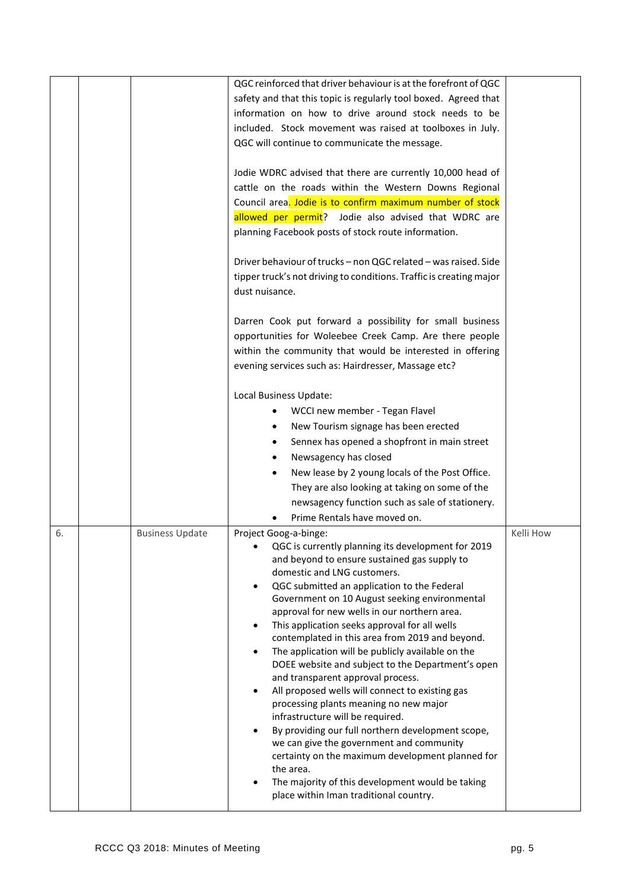|    |                        | QGC reinforced that driver behaviour is at the forefront of QGC<br>safety and that this topic is regularly tool boxed. Agreed that                                                                                                      |           |
|----|------------------------|-----------------------------------------------------------------------------------------------------------------------------------------------------------------------------------------------------------------------------------------|-----------|
|    |                        | information on how to drive around stock needs to be                                                                                                                                                                                    |           |
|    |                        | included. Stock movement was raised at toolboxes in July.                                                                                                                                                                               |           |
|    |                        | QGC will continue to communicate the message.                                                                                                                                                                                           |           |
|    |                        | Jodie WDRC advised that there are currently 10,000 head of<br>cattle on the roads within the Western Downs Regional                                                                                                                     |           |
|    |                        | Council area. Jodie is to confirm maximum number of stock                                                                                                                                                                               |           |
|    |                        | allowed per permit? Jodie also advised that WDRC are                                                                                                                                                                                    |           |
|    |                        | planning Facebook posts of stock route information.                                                                                                                                                                                     |           |
|    |                        | Driver behaviour of trucks - non QGC related - was raised. Side<br>tipper truck's not driving to conditions. Traffic is creating major                                                                                                  |           |
|    |                        | dust nuisance.                                                                                                                                                                                                                          |           |
|    |                        | Darren Cook put forward a possibility for small business<br>opportunities for Woleebee Creek Camp. Are there people<br>within the community that would be interested in offering<br>evening services such as: Hairdresser, Massage etc? |           |
|    |                        | Local Business Update:                                                                                                                                                                                                                  |           |
|    |                        | WCCI new member - Tegan Flavel                                                                                                                                                                                                          |           |
|    |                        | New Tourism signage has been erected<br>$\bullet$                                                                                                                                                                                       |           |
|    |                        | Sennex has opened a shopfront in main street<br>$\bullet$                                                                                                                                                                               |           |
|    |                        | Newsagency has closed                                                                                                                                                                                                                   |           |
|    |                        | New lease by 2 young locals of the Post Office.                                                                                                                                                                                         |           |
|    |                        | They are also looking at taking on some of the                                                                                                                                                                                          |           |
|    |                        | newsagency function such as sale of stationery.                                                                                                                                                                                         |           |
|    |                        | Prime Rentals have moved on.                                                                                                                                                                                                            |           |
| 6. | <b>Business Update</b> | Project Goog-a-binge:                                                                                                                                                                                                                   | Kelli How |
|    |                        | QGC is currently planning its development for 2019<br>and beyond to ensure sustained gas supply to                                                                                                                                      |           |
|    |                        | domestic and LNG customers.                                                                                                                                                                                                             |           |
|    |                        | QGC submitted an application to the Federal                                                                                                                                                                                             |           |
|    |                        | Government on 10 August seeking environmental                                                                                                                                                                                           |           |
|    |                        | approval for new wells in our northern area.                                                                                                                                                                                            |           |
|    |                        | This application seeks approval for all wells                                                                                                                                                                                           |           |
|    |                        | contemplated in this area from 2019 and beyond.<br>The application will be publicly available on the<br>$\bullet$                                                                                                                       |           |
|    |                        | DOEE website and subject to the Department's open                                                                                                                                                                                       |           |
|    |                        | and transparent approval process.                                                                                                                                                                                                       |           |
|    |                        | All proposed wells will connect to existing gas<br>$\bullet$                                                                                                                                                                            |           |
|    |                        | processing plants meaning no new major                                                                                                                                                                                                  |           |
|    |                        | infrastructure will be required.<br>By providing our full northern development scope,                                                                                                                                                   |           |
|    |                        | we can give the government and community                                                                                                                                                                                                |           |
|    |                        | certainty on the maximum development planned for                                                                                                                                                                                        |           |
|    |                        | the area.                                                                                                                                                                                                                               |           |
|    |                        | The majority of this development would be taking<br>place within Iman traditional country.                                                                                                                                              |           |
|    |                        |                                                                                                                                                                                                                                         |           |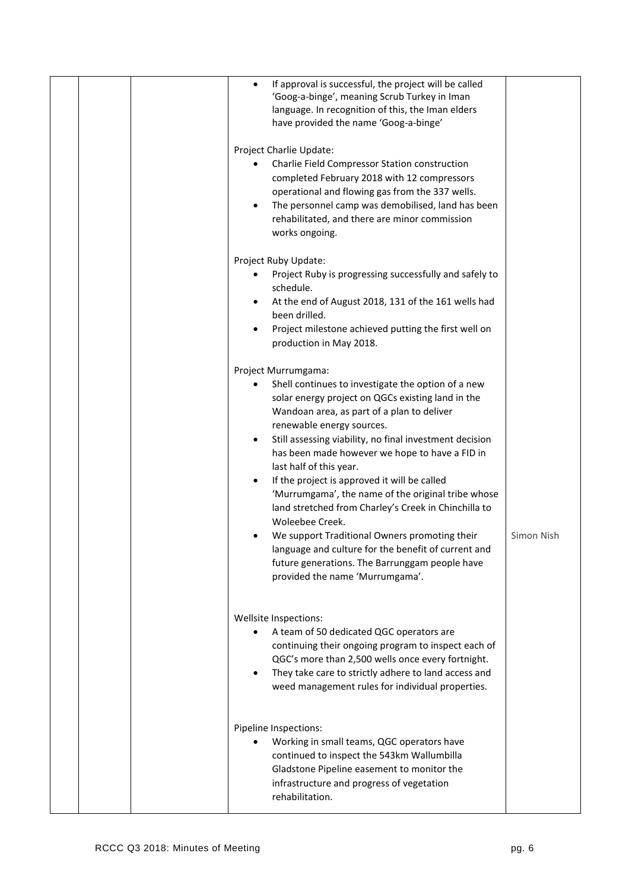|  | If approval is successful, the project will be called<br>$\bullet$<br>'Goog-a-binge', meaning Scrub Turkey in Iman<br>language. In recognition of this, the Iman elders<br>have provided the name 'Goog-a-binge'                                                                                                                                                                                                                                                                                                                                                                                                                                                                                                                             |            |
|--|----------------------------------------------------------------------------------------------------------------------------------------------------------------------------------------------------------------------------------------------------------------------------------------------------------------------------------------------------------------------------------------------------------------------------------------------------------------------------------------------------------------------------------------------------------------------------------------------------------------------------------------------------------------------------------------------------------------------------------------------|------------|
|  | Project Charlie Update:<br>Charlie Field Compressor Station construction<br>completed February 2018 with 12 compressors<br>operational and flowing gas from the 337 wells.<br>The personnel camp was demobilised, land has been<br>rehabilitated, and there are minor commission<br>works ongoing.                                                                                                                                                                                                                                                                                                                                                                                                                                           |            |
|  | Project Ruby Update:<br>Project Ruby is progressing successfully and safely to<br>$\bullet$<br>schedule.<br>At the end of August 2018, 131 of the 161 wells had<br>been drilled.<br>Project milestone achieved putting the first well on<br>production in May 2018.                                                                                                                                                                                                                                                                                                                                                                                                                                                                          |            |
|  | Project Murrumgama:<br>Shell continues to investigate the option of a new<br>solar energy project on QGCs existing land in the<br>Wandoan area, as part of a plan to deliver<br>renewable energy sources.<br>Still assessing viability, no final investment decision<br>$\bullet$<br>has been made however we hope to have a FID in<br>last half of this year.<br>If the project is approved it will be called<br>'Murrumgama', the name of the original tribe whose<br>land stretched from Charley's Creek in Chinchilla to<br>Woleebee Creek.<br>We support Traditional Owners promoting their<br>language and culture for the benefit of current and<br>future generations. The Barrunggam people have<br>provided the name 'Murrumgama'. | Simon Nish |
|  | Wellsite Inspections:<br>A team of 50 dedicated QGC operators are<br>continuing their ongoing program to inspect each of<br>QGC's more than 2,500 wells once every fortnight.<br>They take care to strictly adhere to land access and<br>weed management rules for individual properties.                                                                                                                                                                                                                                                                                                                                                                                                                                                    |            |
|  | Pipeline Inspections:<br>Working in small teams, QGC operators have<br>continued to inspect the 543km Wallumbilla<br>Gladstone Pipeline easement to monitor the<br>infrastructure and progress of vegetation<br>rehabilitation.                                                                                                                                                                                                                                                                                                                                                                                                                                                                                                              |            |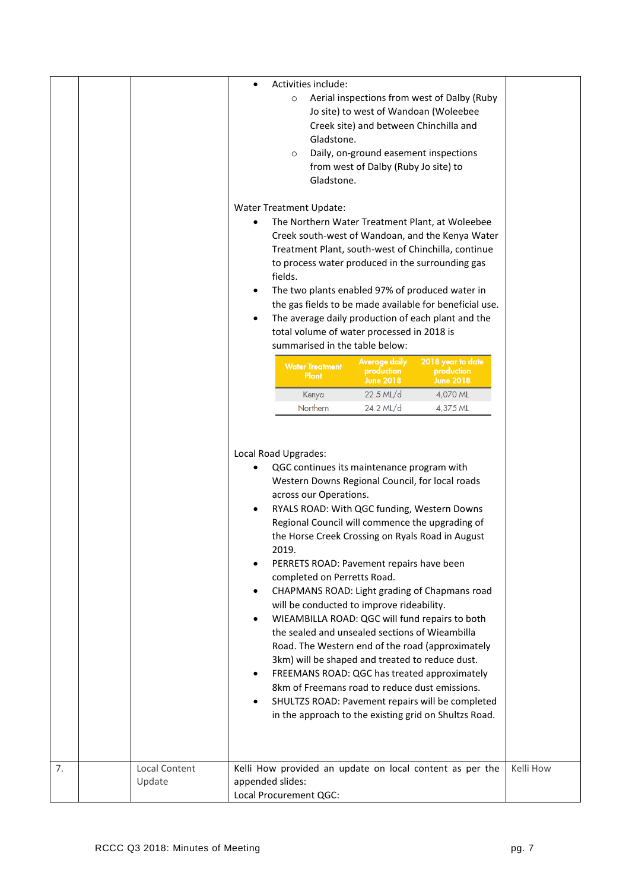|    |                         | $\bullet$<br>Water Treatment Update:        | $\circ$<br>$\circ$ | Activities include:<br>Gladstone.<br>Gladstone.       | Jo site) to west of Wandoan (Woleebee<br>Creek site) and between Chinchilla and<br>Daily, on-ground easement inspections<br>from west of Dalby (Ruby Jo site) to                                                                                                                                                                              | Aerial inspections from west of Dalby (Ruby<br>The Northern Water Treatment Plant, at Woleebee<br>Creek south-west of Wandoan, and the Kenya Water<br>Treatment Plant, south-west of Chinchilla, continue<br>to process water produced in the surrounding gas                                                                                                                                                                                                          |           |
|----|-------------------------|---------------------------------------------|--------------------|-------------------------------------------------------|-----------------------------------------------------------------------------------------------------------------------------------------------------------------------------------------------------------------------------------------------------------------------------------------------------------------------------------------------|------------------------------------------------------------------------------------------------------------------------------------------------------------------------------------------------------------------------------------------------------------------------------------------------------------------------------------------------------------------------------------------------------------------------------------------------------------------------|-----------|
|    |                         |                                             | fields.            | <b>Water Treatment</b><br>Plant                       | total volume of water processed in 2018 is<br>summarised in the table below:<br>Average daily<br>production<br>June 2018                                                                                                                                                                                                                      | The two plants enabled 97% of produced water in<br>the gas fields to be made available for beneficial use.<br>The average daily production of each plant and the<br>2018 year to date<br>production<br><b>June 2018</b>                                                                                                                                                                                                                                                |           |
|    |                         |                                             |                    | Kenya<br>Northern                                     | 22.5 ML/d<br>24.2 ML/d                                                                                                                                                                                                                                                                                                                        | 4,070 ML<br>4,375 ML                                                                                                                                                                                                                                                                                                                                                                                                                                                   |           |
|    |                         | Local Road Upgrades:<br>٠<br>$\bullet$<br>٠ | 2019.              | across our Operations.<br>completed on Perretts Road. | QGC continues its maintenance program with<br>Western Downs Regional Council, for local roads<br>PERRETS ROAD: Pavement repairs have been<br>will be conducted to improve rideability.<br>the sealed and unsealed sections of Wieambilla<br>3km) will be shaped and treated to reduce dust.<br>8km of Freemans road to reduce dust emissions. | RYALS ROAD: With QGC funding, Western Downs<br>Regional Council will commence the upgrading of<br>the Horse Creek Crossing on Ryals Road in August<br>CHAPMANS ROAD: Light grading of Chapmans road<br>WIEAMBILLA ROAD: QGC will fund repairs to both<br>Road. The Western end of the road (approximately<br>FREEMANS ROAD: QGC has treated approximately<br>SHULTZS ROAD: Pavement repairs will be completed<br>in the approach to the existing grid on Shultzs Road. |           |
| 7. | Local Content<br>Update | appended slides:<br>Local Procurement QGC:  |                    |                                                       |                                                                                                                                                                                                                                                                                                                                               | Kelli How provided an update on local content as per the                                                                                                                                                                                                                                                                                                                                                                                                               | Kelli How |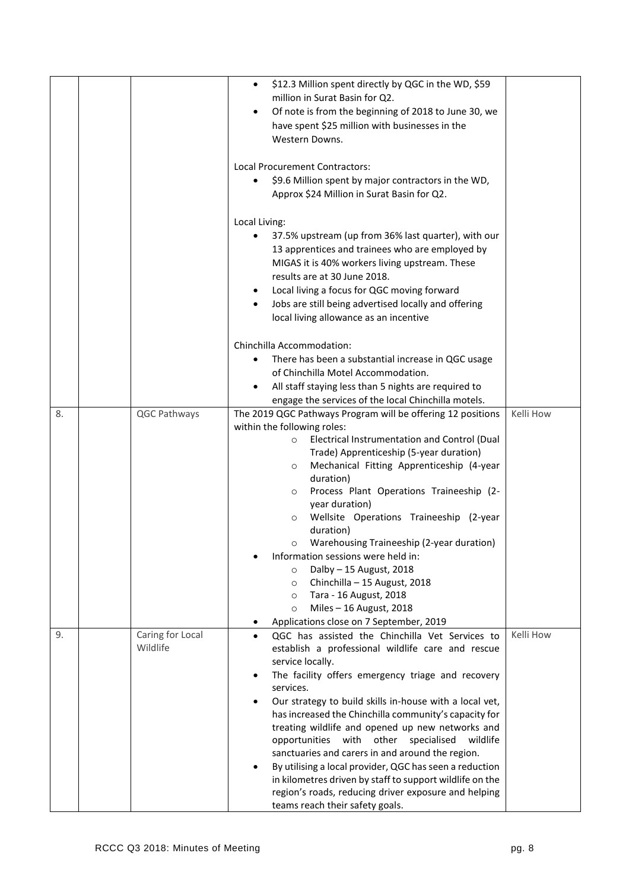|    |                              | \$12.3 Million spent directly by QGC in the WD, \$59<br>$\bullet$<br>million in Surat Basin for Q2.                 |           |
|----|------------------------------|---------------------------------------------------------------------------------------------------------------------|-----------|
|    |                              | Of note is from the beginning of 2018 to June 30, we                                                                |           |
|    |                              | have spent \$25 million with businesses in the                                                                      |           |
|    |                              | Western Downs.                                                                                                      |           |
|    |                              | Local Procurement Contractors:                                                                                      |           |
|    |                              | \$9.6 Million spent by major contractors in the WD,                                                                 |           |
|    |                              | Approx \$24 Million in Surat Basin for Q2.                                                                          |           |
|    |                              | Local Living:                                                                                                       |           |
|    |                              | 37.5% upstream (up from 36% last quarter), with our<br>٠                                                            |           |
|    |                              | 13 apprentices and trainees who are employed by                                                                     |           |
|    |                              | MIGAS it is 40% workers living upstream. These                                                                      |           |
|    |                              | results are at 30 June 2018.                                                                                        |           |
|    |                              | Local living a focus for QGC moving forward<br>٠                                                                    |           |
|    |                              | Jobs are still being advertised locally and offering<br>$\bullet$                                                   |           |
|    |                              | local living allowance as an incentive                                                                              |           |
|    |                              | Chinchilla Accommodation:                                                                                           |           |
|    |                              | There has been a substantial increase in QGC usage                                                                  |           |
|    |                              | of Chinchilla Motel Accommodation.                                                                                  |           |
|    |                              | All staff staying less than 5 nights are required to                                                                |           |
|    |                              | engage the services of the local Chinchilla motels.                                                                 |           |
| 8. | QGC Pathways                 | The 2019 QGC Pathways Program will be offering 12 positions                                                         | Kelli How |
|    |                              | within the following roles:<br>Electrical Instrumentation and Control (Dual<br>$\circ$                              |           |
|    |                              | Trade) Apprenticeship (5-year duration)                                                                             |           |
|    |                              | Mechanical Fitting Apprenticeship (4-year<br>$\circ$                                                                |           |
|    |                              | duration)                                                                                                           |           |
|    |                              | Process Plant Operations Traineeship (2-<br>$\circ$                                                                 |           |
|    |                              | year duration)                                                                                                      |           |
|    |                              | Wellsite Operations Traineeship (2-year<br>O                                                                        |           |
|    |                              | duration)<br>Warehousing Traineeship (2-year duration)                                                              |           |
|    |                              | O<br>Information sessions were held in:                                                                             |           |
|    |                              | Dalby $-15$ August, 2018<br>$\circ$                                                                                 |           |
|    |                              | Chinchilla - 15 August, 2018<br>$\circ$                                                                             |           |
|    |                              | Tara - 16 August, 2018<br>$\circ$                                                                                   |           |
|    |                              | Miles - 16 August, 2018<br>$\circ$                                                                                  |           |
|    |                              | Applications close on 7 September, 2019<br>٠                                                                        | Kelli How |
| 9. | Caring for Local<br>Wildlife | QGC has assisted the Chinchilla Vet Services to<br>$\bullet$<br>establish a professional wildlife care and rescue   |           |
|    |                              | service locally.                                                                                                    |           |
|    |                              | The facility offers emergency triage and recovery                                                                   |           |
|    |                              | services.                                                                                                           |           |
|    |                              | Our strategy to build skills in-house with a local vet,                                                             |           |
|    |                              | has increased the Chinchilla community's capacity for                                                               |           |
|    |                              | treating wildlife and opened up new networks and                                                                    |           |
|    |                              | with<br>other<br>specialised<br>opportunities<br>wildlife                                                           |           |
|    |                              | sanctuaries and carers in and around the region.                                                                    |           |
|    |                              | By utilising a local provider, QGC has seen a reduction<br>in kilometres driven by staff to support wildlife on the |           |
|    |                              | region's roads, reducing driver exposure and helping                                                                |           |
|    |                              | teams reach their safety goals.                                                                                     |           |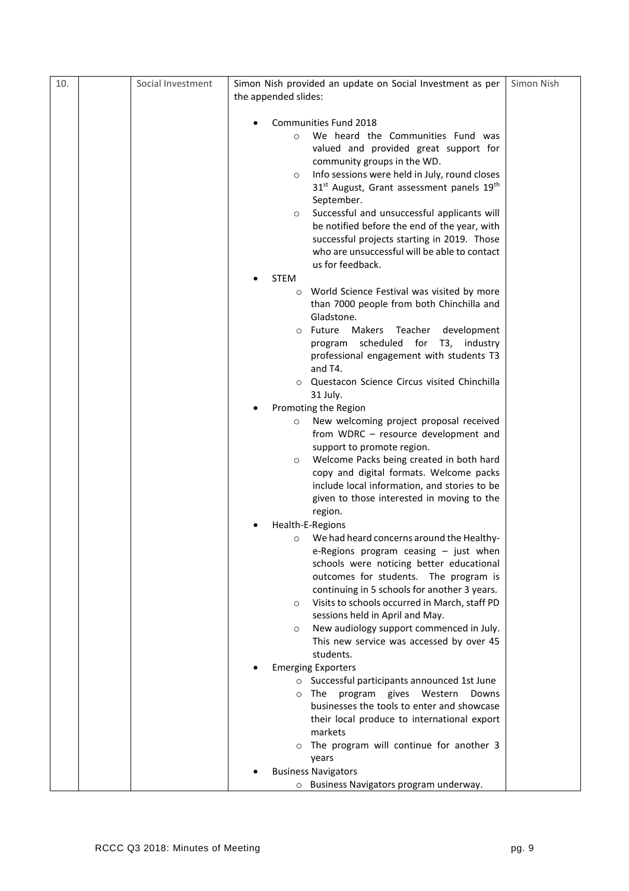| 10. | Social Investment | Simon Nish provided an update on Social Investment as per                                     | Simon Nish |
|-----|-------------------|-----------------------------------------------------------------------------------------------|------------|
|     |                   | the appended slides:                                                                          |            |
|     |                   |                                                                                               |            |
|     |                   | Communities Fund 2018<br>We heard the Communities Fund was<br>$\Omega$                        |            |
|     |                   | valued and provided great support for                                                         |            |
|     |                   | community groups in the WD.                                                                   |            |
|     |                   | Info sessions were held in July, round closes<br>$\circ$                                      |            |
|     |                   | 31 <sup>st</sup> August, Grant assessment panels 19 <sup>th</sup>                             |            |
|     |                   | September.                                                                                    |            |
|     |                   | Successful and unsuccessful applicants will<br>$\circ$                                        |            |
|     |                   | be notified before the end of the year, with                                                  |            |
|     |                   | successful projects starting in 2019. Those                                                   |            |
|     |                   | who are unsuccessful will be able to contact<br>us for feedback.                              |            |
|     |                   | <b>STEM</b>                                                                                   |            |
|     |                   | World Science Festival was visited by more<br>$\circ$                                         |            |
|     |                   | than 7000 people from both Chinchilla and                                                     |            |
|     |                   | Gladstone.                                                                                    |            |
|     |                   | Future<br>Makers<br>Teacher<br>development<br>$\circ$                                         |            |
|     |                   | scheduled for T3, industry<br>program                                                         |            |
|     |                   | professional engagement with students T3                                                      |            |
|     |                   | and T4.<br>o Questacon Science Circus visited Chinchilla                                      |            |
|     |                   | 31 July.                                                                                      |            |
|     |                   | Promoting the Region                                                                          |            |
|     |                   | New welcoming project proposal received<br>$\circ$                                            |            |
|     |                   | from WDRC - resource development and                                                          |            |
|     |                   | support to promote region.                                                                    |            |
|     |                   | Welcome Packs being created in both hard<br>$\circ$                                           |            |
|     |                   | copy and digital formats. Welcome packs                                                       |            |
|     |                   | include local information, and stories to be<br>given to those interested in moving to the    |            |
|     |                   | region.                                                                                       |            |
|     |                   | Health-E-Regions                                                                              |            |
|     |                   | We had heard concerns around the Healthy-<br>$\circ$                                          |            |
|     |                   | e-Regions program ceasing - just when                                                         |            |
|     |                   | schools were noticing better educational                                                      |            |
|     |                   | outcomes for students. The program is                                                         |            |
|     |                   | continuing in 5 schools for another 3 years.<br>Visits to schools occurred in March, staff PD |            |
|     |                   | $\circ$<br>sessions held in April and May.                                                    |            |
|     |                   | New audiology support commenced in July.<br>$\circ$                                           |            |
|     |                   | This new service was accessed by over 45                                                      |            |
|     |                   | students.                                                                                     |            |
|     |                   | <b>Emerging Exporters</b>                                                                     |            |
|     |                   | Successful participants announced 1st June                                                    |            |
|     |                   | The<br>program<br>gives<br>Western<br>Downs<br>$\circ$                                        |            |
|     |                   | businesses the tools to enter and showcase                                                    |            |
|     |                   | their local produce to international export<br>markets                                        |            |
|     |                   | o The program will continue for another 3                                                     |            |
|     |                   | years                                                                                         |            |
|     |                   | <b>Business Navigators</b>                                                                    |            |
|     |                   | o Business Navigators program underway.                                                       |            |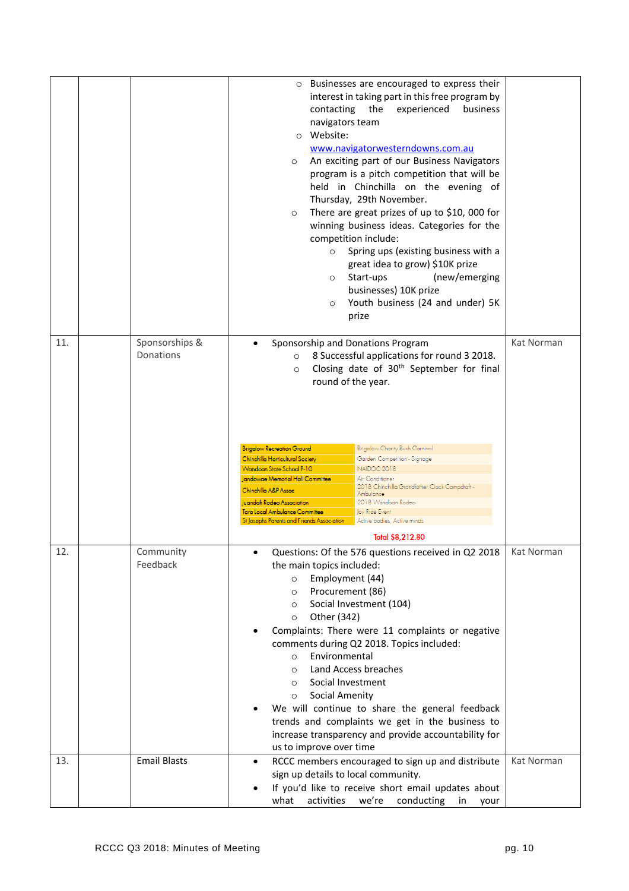|     |                             | Businesses are encouraged to express their<br>$\circ$<br>interest in taking part in this free program by<br>contacting<br>the<br>experienced<br>business<br>navigators team<br>o Website:<br>www.navigatorwesterndowns.com.au<br>An exciting part of our Business Navigators<br>$\circ$<br>program is a pitch competition that will be<br>held in Chinchilla on the evening of<br>Thursday, 29th November.<br>There are great prizes of up to \$10,000 for<br>$\circ$<br>winning business ideas. Categories for the<br>competition include:<br>Spring ups (existing business with a<br>$\circ$<br>great idea to grow) \$10K prize<br>(new/emerging<br>Start-ups<br>$\circ$<br>businesses) 10K prize<br>Youth business (24 and under) 5K<br>$\circ$<br>prize |            |
|-----|-----------------------------|-------------------------------------------------------------------------------------------------------------------------------------------------------------------------------------------------------------------------------------------------------------------------------------------------------------------------------------------------------------------------------------------------------------------------------------------------------------------------------------------------------------------------------------------------------------------------------------------------------------------------------------------------------------------------------------------------------------------------------------------------------------|------------|
| 11. | Sponsorships &<br>Donations | Sponsorship and Donations Program<br>$\bullet$<br>8 Successful applications for round 3 2018.<br>$\circ$<br>Closing date of 30 <sup>th</sup> September for final<br>$\circ$<br>round of the year.                                                                                                                                                                                                                                                                                                                                                                                                                                                                                                                                                           | Kat Norman |
|     |                             | <b>Brigalow Charity Bush Carnival</b><br><b>Brigalow Recreation Ground</b><br>Garden Competition - Signage<br>Chinchilla Horticultural Society<br><b>Wandoan State School P-10</b><br>NAIDOC 2018<br>Jandowae Memorial Hall Committee<br>Air Conditioner<br>2018 Chinchilla Grandfather Clock Campdraft -<br>Chinchilla A&P Assoc<br>Ambulance<br><b>Juandah Rodeo Association</b><br>2018 Wandoan Rodeo<br><b>Tara Local Ambulance Committee</b><br>Joy Ride Event<br>St Josephs Parents and Friends Association<br>Active bodies, Active minds<br>Total \$8,212.80                                                                                                                                                                                        |            |
| 12. | Community<br>Feedback       | Questions: Of the 576 questions received in Q2 2018<br>the main topics included:<br>Employment (44)<br>$\circ$<br>Procurement (86)<br>$\circ$<br>Social Investment (104)<br>$\circ$<br>Other (342)<br>$\circ$<br>Complaints: There were 11 complaints or negative<br>comments during Q2 2018. Topics included:<br>Environmental<br>$\circ$<br>Land Access breaches<br>$\circ$<br>Social Investment<br>$\circ$<br><b>Social Amenity</b><br>$\circ$<br>We will continue to share the general feedback<br>trends and complaints we get in the business to<br>increase transparency and provide accountability for<br>us to improve over time                                                                                                                   | Kat Norman |
| 13. | <b>Email Blasts</b>         | RCCC members encouraged to sign up and distribute<br>$\bullet$<br>sign up details to local community.<br>If you'd like to receive short email updates about<br>activities<br>we're<br>conducting in<br>what<br>your                                                                                                                                                                                                                                                                                                                                                                                                                                                                                                                                         | Kat Norman |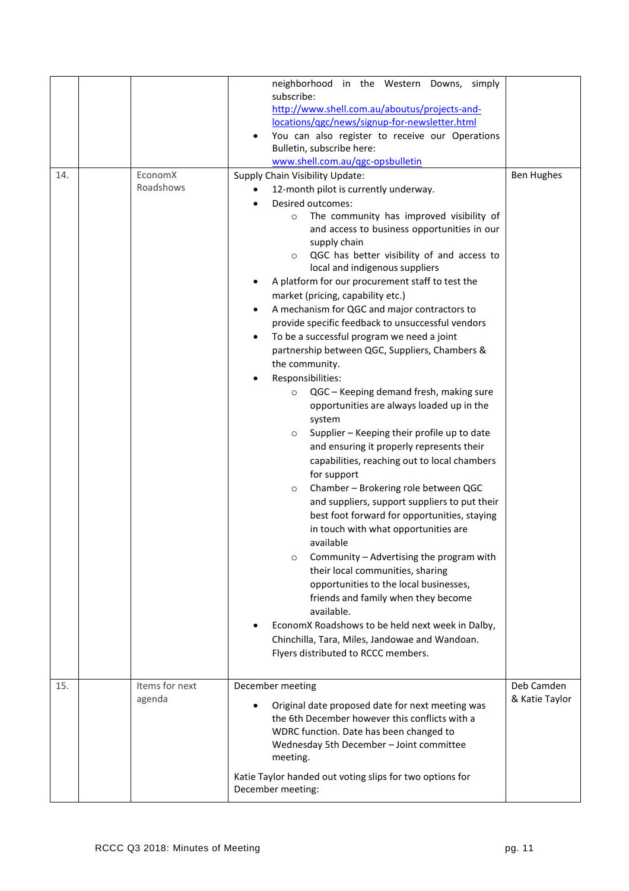|     |                          | neighborhood in the Western Downs, simply<br>subscribe:<br>http://www.shell.com.au/aboutus/projects-and-<br>locations/ggc/news/signup-for-newsletter.html<br>You can also register to receive our Operations<br>Bulletin, subscribe here:<br>www.shell.com.au/qgc-opsbulletin                                                                                                                                                                                                                                                                                                                                                                                                                                                                                                                                                                                                                                                                                                                                                                                                                                                                                                                                                                                                                                                                                                                                                                                                                       |                              |
|-----|--------------------------|-----------------------------------------------------------------------------------------------------------------------------------------------------------------------------------------------------------------------------------------------------------------------------------------------------------------------------------------------------------------------------------------------------------------------------------------------------------------------------------------------------------------------------------------------------------------------------------------------------------------------------------------------------------------------------------------------------------------------------------------------------------------------------------------------------------------------------------------------------------------------------------------------------------------------------------------------------------------------------------------------------------------------------------------------------------------------------------------------------------------------------------------------------------------------------------------------------------------------------------------------------------------------------------------------------------------------------------------------------------------------------------------------------------------------------------------------------------------------------------------------------|------------------------------|
| 14. | EconomX<br>Roadshows     | Supply Chain Visibility Update:<br>12-month pilot is currently underway.<br>Desired outcomes:<br>The community has improved visibility of<br>$\circ$<br>and access to business opportunities in our<br>supply chain<br>QGC has better visibility of and access to<br>$\circ$<br>local and indigenous suppliers<br>A platform for our procurement staff to test the<br>market (pricing, capability etc.)<br>A mechanism for QGC and major contractors to<br>provide specific feedback to unsuccessful vendors<br>To be a successful program we need a joint<br>$\bullet$<br>partnership between QGC, Suppliers, Chambers &<br>the community.<br>Responsibilities:<br>QGC - Keeping demand fresh, making sure<br>$\circ$<br>opportunities are always loaded up in the<br>system<br>Supplier - Keeping their profile up to date<br>$\circ$<br>and ensuring it properly represents their<br>capabilities, reaching out to local chambers<br>for support<br>Chamber - Brokering role between QGC<br>$\circ$<br>and suppliers, support suppliers to put their<br>best foot forward for opportunities, staying<br>in touch with what opportunities are<br>available<br>Community - Advertising the program with<br>$\circ$<br>their local communities, sharing<br>opportunities to the local businesses,<br>friends and family when they become<br>available.<br>EconomX Roadshows to be held next week in Dalby,<br>Chinchilla, Tara, Miles, Jandowae and Wandoan.<br>Flyers distributed to RCCC members. | <b>Ben Hughes</b>            |
| 15. | Items for next<br>agenda | December meeting<br>Original date proposed date for next meeting was<br>the 6th December however this conflicts with a<br>WDRC function. Date has been changed to<br>Wednesday 5th December - Joint committee<br>meeting.<br>Katie Taylor handed out voting slips for two options for<br>December meeting:                                                                                                                                                                                                                                                                                                                                                                                                                                                                                                                                                                                                                                                                                                                                                                                                                                                                                                                                                                                                                                                                                                                                                                                          | Deb Camden<br>& Katie Taylor |